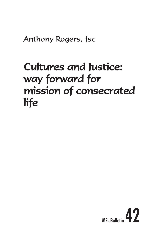Anthony Rogers, fsc

# Cultures and Justice: way forward for mission of consecrated life

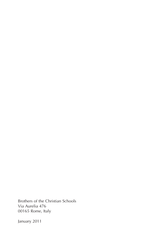Brothers of the Christian Schools Via Aurelia 476 00165 Rome, Italy

January 2011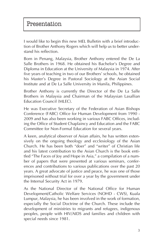I would like to begin this new MEL Bulletin with a brief introduction of Brother Anthony Rogers which will help us to better understand his reflection.

Born in Penang, Malaysia, Brother Anthony entered the De La Salle Brothers in 1968. He obtained his Bachelor's Degree and Diploma in Education at the University of Malaysia in 1974. After five years of teaching in two of our Brothers' schools, he obtained his Master's Degree in Pastoral Sociology at the Asian Social Institute and at De La Salle University in Manila, Philippines.

Brother Anthony is currently the Director of the De La Salle Brothers in Malaysia and Chairman of the Malaysian Lasallian Education Council (MLEC).

He was Executive Secretary of the Federation of Asian Bishops Conference (FABC) Office for Human Development from 1990 - 2009 and has also been working in various FABC Offices, including the Office of Student Chaplaincy and Education and the FABC Committee for Non-Formal Education for several years.

A keen, analytical observer of Asian affairs, he has written extensively on the ongoing theology and ecclesiology of the Asian Church. He has been both "doer" and "writer" of Christian life and his latest contribution to the Asian Church is the book entitled "The Faces of Joy and Hope in Asia," a compilation of a number of papers that were presented at various seminars, conferences and contributions to various publications over the past 20 years. A great advocate of justice and peace, he was one of those imprisoned without trial for over a year by the government under the Internal Security Act in 1979.

As the National Director of the National Office for Human Development/Catholic Welfare Services (NOHD - CWS), Kuala Lumpur, Malaysia, he has been involved in the work of formation, especially the Social Doctrine of the Church. These include the development of ministries to migrants and refugees, indigenous peoples, people with HIV/AIDS and families and children with special needs since 1981.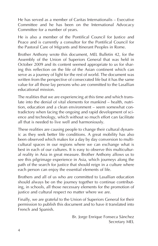He has served as a member of Caritas Internationalis — Executive Committee and he has been on the International Advocacy Committee for a number of years.

He is also a member of the Pontifical Council for Justice and Peace and is currently a consultor for the Pontifical Council for the Pastoral Care of Migrants and Itinerant Peoples in Rome.

Brother Anthony wrote this document, MEL Bulletin 42, for the Assembly of the Union of Superiors General that was held in October 2009 and its content seemed appropriate to us for sharing this reflection on the life of the Asian continent which can serve as a journey of light for the rest of world. The document was written from the perspective of consecrated life but it has the same value for all those lay persons who are committed to the Lasallian educational mission.

The realities that we are experiencing at this time and which translate into the denial of vital elements for mankind — health, nutrition, education and a clean environment — seem somewhat contradictory when facing the ongoing and rapid development of science and technology, which without so much effort can facilitate all that is needed to live well and harmoniously.

These realities are causing people to change their cultural dynamic as they seek better life conditions. A great mobility has also been observed which makes for a day by day conversion to multicultural spaces in our regions where we can exchange what is best in each of our cultures. It is easy to observe this multicultural reality in Asia in great measure. Brother Anthony allows us to see this pilgrimage experience in Asia, which journeys along the path of the search for justice that should reign in a culture where each person can enjoy the essential elements of life.

Brothers and all of us who are committed to Lasallian education should always be on the journey together to continue contributing, in schools, all those necessary elements for the promotion of justice and cultural respect no matter where we are.

Finally, we are grateful to the Union of Superiors General for their permission to publish this document and to have it translated into French and Spanish.

> Br. Jorge Enrique Fonseca Sánchez Secretary MEL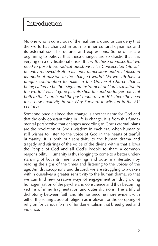No one who is conscious of the realities around us can deny that the world has changed in both its inner cultural dynamics and its external social structures and expressions. Some of us are beginning to believe that these changes are so drastic that it is verging on a civilisational crisis. It is wi*th these premises that we need to pose these radical questions: Has Consecrated Life sufficiently renewed itself in its inner dimensions and revitalised in its mode of mission in the changed world? Do we still have a unique contribution to make in the Universal Church that is being called to be the "sign and instrument of God's salvation in the world"? Has it gone past its shelf-life and no longer relevant both to the Church and the post-modern world? Is there the need for a new creativity in our Way Forward in Mission in the 21st century?*

Someone once claimed that change is another name for God and that the only constant thing in life is change. It is from this fundamental perspective that changes according to God's eternal plans are the revelation of God's wisdom in each era, when humanity still wishes to listen to the voice of God in the hearts of tearful humanity. It is both our sensitivity to the human drama and tragedy and stirrings of the voice of the divine within that allows the People of God and all God's People to share a common responsibility. Humanity is thus longing to come to a better understanding of both its inner workings and outer manifestation by reading the signs of the times and listening to the voices of the age. Amidst cacophony and discord, we are struggling to awaken within ourselves a greater sensitivity to the human drama, so that we can find new creative ways of engagement amidst growing homogenisation of the psyche and conscience and thus becoming victims of inner fragmentation and outer divisions. The artificial dichotomy between faith and life has become more evident with either the setting aside of religion as irrelevant or the co-opting of religion for various forms of fundamentalism that breed greed and violence.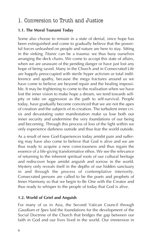### 1. Conversion to Truth and Justice

#### **1.1. The Moral Tsunami Today**

Some also choose to remain in a state of denial, since hope has been extinguished and come to gradually believe that the powerful forces unleashed on people and nature are here to stay. Sitting in the sinking *Titanic* can be a trauma: we thus busy ourselves arranging the deck chairs. We come to accept this state of affairs, when we are unaware of the pending danger or have just lost any hope of being saved. Many in the Church and in Consecrated Life are happily preoccupied with sterile hyper activism or total indifference and apathy, because the mega fractures around us we have come to believe are beyond repair and the healing impossible. It may be frightening to come to the realisation when we have lost the inner vision to make hope a dream, we tend towards selfpity or take on aggression as the path to self-survival. People today, have gradually become convinced that we are not the apex of creation and the subjects of re-creation. The turbulent inner crisis and devastating outer manifestation make us lose both our inner security and undermine the very foundations of our being and becoming. Through this process of loss of the light within we only experience darkness outside and thus fear the world outside.

As a result of new God-Experiences today amidst pain and suffering may have also come to believe that God is alive and we are thus ready to acquire a new consciousness and thus regain the essence of a life-giving transformative ethos. We see the relevance of returning to the inherent spiritual roots of our cultural heritage and rediscover hope amidst anguish and sorrow in the world. Mystery only reveals itself in the depths of our hidden sanctuary in and through the process of contemplative interiority. Consecrated persons are called to be the poets and prophets of Inner Harmony so that we begin to Be One with the Creator and thus ready to whisper to the people of today that God is alive.

#### **1.2. World of Grief and Anguish**

For many of us in Asia, the Second Vatican Council through *Gaudium et Spes* laid the foundations for the development of the Social Doctrine of the Church that bridges the gap between our faith in God and our lives lived in the world. Our immersion in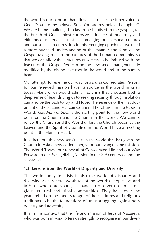the world is our baptism that allows us to hear the inner voice of God, "You are my beloved Son, You are my beloved daughter". We are being challenged today to be baptised in the gasping for the breath of God, amidst corrosive affluence of modernity and effluents of materialism that is submerging our personal cultures and our social structures. It is in this emerging epoch that we need a more nuanced understanding of the manner and form of the Gospel taking root in the cultures of the human community so that we can allow the structures of society to be imbued with the leaven of the Gospel. We can be the new seeds that genetically modified by the divine take root in the world and in the human heart.

Our attempts to redefine our way forward as Consecrated Persons for our renewed mission have its source in the world in crisis today. Many of us would admit that crisis that produces both a deep sense of fear, driving us to seeking security through isolation can also be the path to Joy and Hope. The essence of the first document of the Second Vatican Council, The Church in the Modern World, *Gaudium et Spes* is the starting point for the new world both for the Church and the Church in the world. We cannot renew the Church and the World unless the Church becomes the Leaven and the Spirit of God alive in the World have a meeting point in the Human Heart.

It is therefore this new sensitivity in the world that has given the Church in Asia a new added energy for our evangelizing mission. The World Today, our renewal of Consecrated Life and our Way Forward in our Evangelizing Mission in the  $21<sup>st</sup>$  century cannot be separated.

#### **1.3. Lessons from the World of Disparity and Diversity**

The world today in crisis is also the world of disparity and diversity. Asia, where two-thirds of the world's people live and 60% of whom are young, is made up of diverse ethnic, religious, cultural and tribal communities. They have over the years relied on the inner strength of their cultures and religious traditions to be the foundations of unity struggling against both poverty and adversity.

It is in this context that the life and mission of Jesus of Nazareth, who was born in Asia, offers us strength to recognise in our diver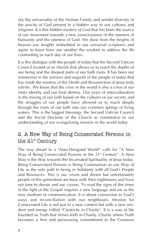sity the universality of the Human Family and amidst diversity in the unicity of God present in a hidden way in our cultures and religions. It is this hidden mystery of God that has been the source of our movement towards a new consciousness of the oneness of humanity and the oneness of God. We draw from the heights of heaven our insights embedded in our universal scriptures and aspire to learn from one another the wisdom to address the ills confronting us each day of our lives.

It is this dialogue with the people of today that the Second Vatican Council invited us to cherish that allows us to reach the depths of our being and the deepest parts of our faith roots. It has been our immersion in the sorrows and anguish of the people of today that has made the mystery of the Death and Resurrection of Jesus truly salvific. We know that the crisis in the world is also a crisis of our inner identity and our final destiny. Our years of interculturation in the mixing of our faith based on the cultures of our society and the struggles of our people have allowed us to reach deeply through the roots of our faith into our common springs of living waters. This is the biggest blessings, the Second Vatican Council and the Social Doctrine of the Church as constitutive to our understanding of our evangelizing mission in the world today.

### 2. A New Way of Being Consecrated Persons in the 21<sup>st</sup> Century

The way ahead in a "Man-Designed World" calls for "A New Way of Being Consecrated Persons in the  $21<sup>st</sup>$  Century". A New Way is the Way towards the Incarnated Spirituality of Jesus today. Being Consecrated Persons is Being Communion as our Way of Life as the only path to being in Solidarity with all God's People and Resources. This is our vision and dream but unfortunately people of this generation are busy with their nightmares and have not time to dream and see visions. To read the signs of the times in the light of the Gospel requires a new language and we as the new medium of communication. It is about conversion to God's ways and reconciliation with our neighbours. Mission for Consecrated Life is not just in a new context but with a new wisdom and energy called "Creativity in Charity". It is a way of life founded on Truth that shines forth in Charity. Charity where Truth becomes a firm and persevering commitment to the Common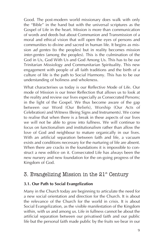Good. The post-modern world missionary does walk with only the "Bible" in the hand but with the universal scriptures as the Gospel of Life in the heart. Mission is more than communication of words and deeds but about Communion and Transmission of a moral and ethical vision that will open the eyes of persons and communities to divine and sacred in human life. It begins as mission *ad gentes* (to the peoples) but in reality becomes mission *inter-gentes* (among the peoples). This is the culmination of the God in Us, God With Us and God Among Us. This has to be our Trinitarian Missiology and Communitarian Spirituality. This new engagement with people of all faith traditions and the birth of a culture of life is the path to Social Harmony. This has to be our understanding of holiness and wholeness.

What characterises us today is our Reflective Mode of Life. Our mode of Mission is our Inner Reflection that allows us to look at the reality and review our lives especially as Consecrated Persons; in the light of the Gospel. We thus become aware of the gap between our Word (Our Beliefs), Worship (Our Acts of Celebration) and Witness (Being Signs and Instruments). We come to realise that when there is a break in these aspects of our lives we will not be able to grow into fullness. We will continue to focus on functionalism and institutionalism rather than allow the love of God and neighbour to mature organically in our lives. With an artificial separation between faith and life, a vacuum exists and conditions necessary for the nurturing of life are absent. When there are cracks in the foundations it is impossible to construct a new edifice on it. Consecrated Life has always been the new nursery and new foundation for the on-going progress of the Kingdom of God.

### 3. Evangelizing Mission in the  $21<sup>st</sup>$  Century

#### **3.1. Our Path to Social Evangelization**

Many in the Church today are beginning to articulate the need for a new social orientation and direction for the Church. It is about the relevance of the Church for the world in crisis. It is about Social Evangelization, as the visible manifestation of the Kingdom within, with us and among us. Life in fullness cannot be about the artificial separation between our privatised faith and our public life but the personal faith made public by the fruits we bear in our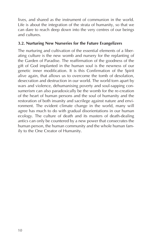lives, and shared as the instrument of communion in the world. Life is about the integration of the strata of humanity, so that we can dare to reach deep down into the very centres of our beings and cultures.

#### **3.2. Nurturing New Nurseries for the Future Evangelizers**

The nurturing and cultivation of the essential elements of a liberating culture is the new womb and nursery for the replanting of the Garden of Paradise. The reaffirmation of the goodness of the gift of God implanted in the human soul is the newness of our genetic inner modification. It is this Confirmation of the Spirit alive again, that allows us to overcome the tomb of desolation, desecration and destruction in our world. The world torn apart by wars and violence, dehumanising poverty and soul-sapping consumerism can also paradoxically be the womb for the re-creation of the heart of human persons and the soul of humanity and the restoration of both insanity and sacrilege against nature and environment. The evident climate change in the world, many will agree has much to do with gradual disorientations in our human ecology. The culture of death and its masters of death-dealing antics can only be countered by a new power that consecrates the human person, the human community and the whole human family to the One Creator of Humanity.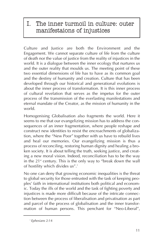### I. The inner turmoil in culture: outer manifestaions of injustices

Culture and Justice are both the Environment and the Engagement. We cannot separate culture of life from the culture of death nor the value of justice from the reality of injustices in the world. It is a dialogue between the inner ecology that nurtures us and the outer reality that moulds us. The meeting point of these two essential dimensions of life has to have as its common goal and the destiny of humanity and creation. Culture that has been developed through our historical and generational evolutions is about the inner process of transformation. It is this inner process of cultural revelation that serves as the impetus for the outer process of the transmission of the everlasting manifestations and eternal mandate of the Creator, as the mission of humanity in the world.

Homogenising Globalisation also fragments the world. Here it seems to me that our evangelizing mission has to address the consequences of an inner fragmentation, where people reshape and construct new identities to resist the encroachments of globalization, where the "New Poor" together with us have to rebuild lives and heal our memories. Our evangelizing mission is thus a process of reconciling, restoring human dignity and healing a broken society. It is about telling the truth, seeking justice, and creating a new moral vision. Indeed, reconciliation has to be the way in the  $21<sup>st</sup>$  century. This is the only way to "break down the wall of hostility which divides us".<sup>1</sup>

No one can deny that growing economic inequalities is the threat to global security for those entrusted with the task of keeping peoples' faith in international institutions both political and economic. Today the ills of the world and the task of fighting poverty and injustices is made more difficult because of the intricate connection between the process of liberalisation and privatisation as part and parcel of the process of globalisation and the inner transformation of human persons. This penchant for "Neo-Liberal",

<sup>1</sup>*Ephesians* 2:14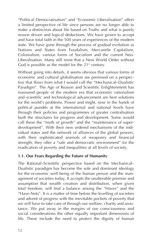"Political Democratisation" and "Economic Liberalisation" offers a limited perspective of life since persons are no longer able to make a distinction about life based on Truths and what is purely reason driven and logical deductions. We have grown to accept and have total faith in the 500 years of experiences of the modern state. We have gone through the process of gradual evolution as Nations and States from Feudalism, Mercantile Capitalism, Colonialism, various forms of Socialism and the current Neo-Liberalisation. Many still insist that a New World Order without God is possible as the model for the  $21<sup>st</sup>$  century.

Without going into details, it seems obvious that various forms of economic and cultural globalisation are premised on a perspective that flows from what I would call the "Mechanical—Dualistic Paradigm". The Age of Reason and Scientific Enlightenment has reassured people of the modern era that economic rationalism and scientific and technological advancement are best solutions for the world's problems. Power and might, now in the hands of political pundits at the international and national levels have through their policies and programmes of greater centralisation built the structures for progress and development. Some would call these the "myth of growth" and the "maintenance of superdevelopment". With their new ordered mechanisms of the individual states and the network of alliances of the global powers, with their sophisticated arsenals of weaponry and financial strength, they offer a "safe and democratic environment" for the eradication of poverty and inequalities at all levels of society.

#### **1.1. Our Fears Regarding the Future of Humanity**

The Rational—Scientific perspective based on the Mechanical— Dualistic paradigm has become the sole and dominant ideology for the economic well being of the human person and the management of societies today. It accepts the unalterable premise and assumption that wealth creation and distribution, when given total freedom, will find a balance among the "Haves" and the "Have-Nots". It is a matter of time before the levelling of societies and advent of progress with the inevitable pockets of poverty that we will have to take care of through our welfare, charity and assistance. We put away in the margins of our consciousness and social considerations the other equally important dimensions of life. These include the need to protect the dignity of human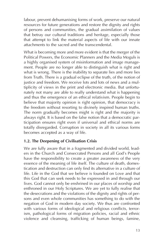labour, prevent dehumanising forms of work, preserve our natural resources for future generations and restore the dignity and rights of persons and communities, the gradual assimilation of values that betray our cultural traditions and heritage, especially those that attempt to link the material aspects of life with our innate attachments to the sacred and the transcendental.

What is becoming more and more evident is that the merger of the Political Powers, the Economic Planners and the Media Moguls is a highly organised system of misinformation and image management. People are no longer able to distinguish what is right and what is wrong. There is the inability to separate lies and more lies from Truth. There is a gradual eclipse of the truth, of the notion of justice and freedom. We receive lots and lots of news and a multiplicity of views in the print and electronic media. But unfortunately not many are able to really understand what is happening and thus the emergence of an ethical relativism. People begin to believe that majority opinion is right opinion, that democracy is the freedom without resorting to divinely inspired human truths. The norm gradually becomes might is right and the majority is always right. It is based on the false notion that a democratic participation ensures right even if universal and ethical norms are totally disregarded. Corruption in society in all its various forms becomes accepted as a way of life.

#### **1.2. The Deepening of Civilisation Crisis**

We are fully aware that in a fragmented and divided world, leaders in the Church and Consecrated Persons and all God's People have the responsibility to create a greater awareness of the very essence of the meaning of life itself. The culture of death, domestication and destruction can only find its alternative in a culture of life. Life in the God that we believe is founded on Love and that this God that can seek needs to be expressed in and through our lives. God cannot only be enshrined in our places of worship and enthroned in our Holy Scriptures. We are yet to fully realise that the desecrations and the violations of the dignity and rights of persons and even whole communities has something to do with the negation of God in modern day society. We thus are confronted with various forms of ideological and religious conflicts, terrorism, pathological forms of migration policies, racial and ethnic violence and cleansing, trafficking of human beings, famine,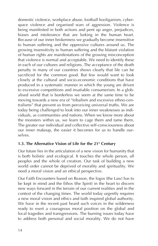domestic violence, workplace abuse, football hooliganism, cyberspace violence and organised wars of aggression. Violence is being manifested in both actions and pent up anger, prejudices, biases and intolerance that are lurking in the human heart. Because of our inner brokenness we gradually become insensitive to human suffering and the oppressive cultures around us. The growing insensitivity to human suffering and the blatant violation of human rights are manifestations of the growing misconception that violence is normal and acceptable. We need to identify these in each of our cultures and religions. The acceptance of the death penalty in many of our countries shows clearly that life can be sacrificed for the common good. But few would want to look closely at the cultural and socio-economic conditions that have produced in a systematic manner in which the young are driven to excessive competitions and insatiable consumerism. In a globalised world that is borderless we seem at the same time to be moving towards a new era of "tribalism and excessive ethno-centralisms" that prevent us from perceiving universal truths. We are today being challenged to look into our inner weaknesses as individuals, as communities and nations. When we know more about the monsters within us, we learn to cage them and tame them. The greater our individual and collective self-consciousness about our inner makeup, the easier it becomes for us to handle ourselves.

#### **1.3. The Alternative Vision of Life for the 21<sup>st</sup> Century**

Our future lies in the articulation of a new vision for humanity that is both holistic and ecological. It touches the whole person, all peoples and the whole of creation. Our task of building a new world order cannot be deprived of morality and spirituality. We need a moral vision and an ethical perspective.

Our Faith Encounters based on Reason, the logos (the Law) has to be kept in mind and the Ethos (the Spirit) in the heart to discern new ways forward in the terrain of our current realities and in the context of the changing times. The world today urgently requires a new moral vision and ethics and faith inspired global authority. We have in the recent past heard such voices in the wilderness ready to exert a courageous moral position on the global and local tragedies and transgressions. The burning issues today have to address both personal and social morality. We do not have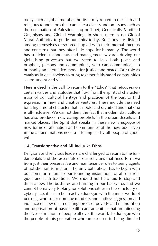today such a global moral authority firmly rooted in our faith and religious foundations that can take a clear stand on issues such as the occupation of Palestine, Iraq or Tibet, Genetically Modified Organisms and Global Warming. In short, there is no Global Moral Authority to guide humanity today. Religions are divided among themselves or so preoccupied with their internal interests and concerns that they offer little hope for humanity. The world has sufficient technocrats and management wizards driving our globalising processes but we seem to lack both poets and prophets, persons and communities, who can communicate to humanity an alternative model for justice and peace. Our role as catalysts in civil society to bring together faith-based communities seems urgent and vital.

Here indeed is the call to return to the "Ethos" that refocuses on certain values and attitudes that flow from the spiritual characteristics of our cultural heritage and practices of the past to find expression in new and creative ventures. These include the need for a high moral character that is noble and dignified and that one is all-inclusive. We cannot deny the fact that modern day culture has also produced new daring prophets in the urban deserts and market places. The Spirit that speaks in these new *areopagai* of new forms of alienation and communities of the new poor even in the affluent nations need a listening ear by all people of goodwill.

#### **1.4. Transformative and All Inclusive Ethos**

Religions and religious leaders are challenged to return to the fundamentals and the essentials of our religions that need to move from just their preservative and maintenance roles to being agents of holistic transformation. The only path ahead has to begin with our common return to our founding inspirations of all our religious and faith traditions. We should not be afraid to stop and think anew. The bushfires are burning in our backyards and we cannot be naively looking for solutions either in the sanctuary or cyberspace: it has to be in active dialogue with the inner world of persons, who suffer from the mindless and endless aggression and violence of slow death dealing forces of poverty and malnutrition and deprivation of basic health care amenities that are affecting the lives of millions of people all over the world. To dialogue with the people of this generation who are so used to being directed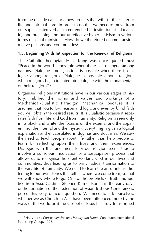from the outside calls for a new process that will stir their interior life and spiritual core. In order to do that we need to move from our sophisticated verbalism entrenched in institutionalised teaching and preaching and our unreflective hyper-activism in various forms of social ministries. How do we therefore become transformative persons and communities?

#### **1.5. Beginning With Introspection for the Renewal of Religions**

The Catholic theologian Hans Kung was once quoted thus: "Peace in the world is possible when there is a dialogue among nations. Dialogue among nations is possible when there is dialogue among religions. Dialogue is possible among religions when religions begin to enter into dialogue with the fundamentals of their religions".<sup>2</sup>

Organised religious institutions have in our various stages of history, imbibed the norms and values and workings of a Mechanical-Dualistic Paradigm. Mechanical because it is assumed that you follow reason and logic and even by blind faith you will obtain the desired results. It is Dualistic because it separates faith from life and God from humanity. Religion is seen only in its black and white, the focus is on the external and the apparent, not the internal and the mystery. Everything is given a logical explanation and encapsulated in dogmas and doctrines. We saw the need to teach people about life rather than help people to learn by reflecting upon their lives and their experiences. Dialogue with the fundamentals of our religion seems thus to involve a conscious inculcation of a participatory process that allows us to recognise the silent working God in our lives and communities, thus leading us to bring radical transformation to the very life of humanity. We need to learn the art of intense listening to our own stories that tell us where we come from, so that we will know where to go. One of the prophets of truth and justice from Asia, Cardinal Stephen Kim of Korea, in the early days of the formation of the Federation of Asian Bishops Conferences, posed this very difficult question: We need to ask ourselves, whether we as Church in Asia have been influenced more by the ways of the world or if the Gospel of Jesus has truly transformed

<sup>2</sup> HANS KUNG, *Christianity: Essence, History and Future*, Continuum International Publishing Group, 1996.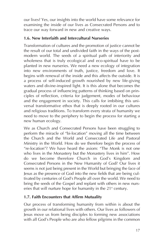our lives? Yes, our insights into the world have some relevance for examining the inside of our lives as Consecrated Persons and to trace our way forward in new and creative ways.

#### **1.6. New Interfaith and Intercultural Nurseries**

Transformation of cultures and the promotion of justice cannot be the result of our total and undivided faith in the ways of the postmodern world. The seeds of a spiritual path of interiority and wholeness that is truly ecological and eco-spiritual have to be planted in new nurseries. We need a new ecology of integration into new environments of truth, justice, freedom and love. It begins with renewal of the inside and this affects the outside. It is a process of self-induced growth nourished by new life-giving waters and divine-inspired light. It is this alone that becomes the gradual process of influencing patterns of thinking based on principles of reflection, criteria for judgement, modes of behaviour and the engagement in society. This calls for imbibing this universal transformative ethos that is deeply rooted in our cultures and religious traditions. To transform every strata of humanity we need to move to the periphery to begin the process for starting a new human ecology.

We as Church and Consecrated Persons have been struggling to perform the miracle of "bi-location" moving all the time between the Church and the World and Consecrated Life and Pastoral Ministry in the World. How do we therefore begin the process of "re-location"? We have heard the axiom: "The Monk is not one who lives in the Monastery but the Monastery lives in him". How do we become therefore Church in God's Kingdom and Consecrated Persons in the New Humanity of God? Our lives it seems is not just being present in the World but bringing the face of Jesus as the presence of God into the new fields that are being cultivated by centuries of God's People all over the world. We need to bring the seeds of the Gospel and replant with others in new nurseries that will nurture hope for humanity in the  $21<sup>st</sup>$  century.

#### **1.7. Faith Encounters that Affirm Mutuality**

Our process of transforming humanity from within is about the growth in our relational lives with others. Our lives as followers of Jesus move us from being disciples to forming new associations with all God's People who are also fellow pilgrims in the common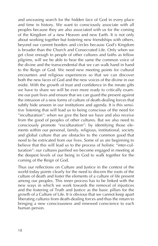and unceasing search for the hidden face of God in every place and time in history. We want to consciously associate with all peoples because they are also associated with us for the coming of the Kingdom of a new Heaven and new Earth. It is not only about working together but fostering new friendships with others, beyond our current borders and circles because God's Kingdom is broader than the Church and Consecrated Life. Only when we get close enough to people of other cultures and faiths as fellow pilgrims, will we be able to hear the same the common voice of the divine and the transcendental that we can walk hand in hand to the Reign of God. We need new meeting points for cultural encounters and religious experiences so that we can discover both the new faces of God and the new voices of the divine in our midst. With the growth of trust and confidence in the innate gifts we have to share we will be ever more ready to critically examine our past lives and ensure that we can guard the present against the intrusion of a new forms of culture of death-dealing forces that subtly hide unseen in our institutions and agenda. It is this sensitive listening that will lead us to being conscious of the need for "inculturation": when we give the best we have and also receive from the good of peoples of other cultures. But we also need to consciously promote "exculturation": by identifying those elements within our personal, family, religious, institutional, society and global culture that are obstacles to the common good that need to be extricated from our lives. Some of us are beginning to believe that this will lead us to the process of holistic "inter-culturation": our cultures purified we become engaged in meeting at the deepest levels of our being in God to walk together for the coming of the Reign of God.

Thus our reflections on Culture and Justice in the context of the world today points clearly for the need to discern the roots of the culture of death and foster the elements of a culture of life present among our peoples. This inner process has to be linked with the new ways in which we work towards the removal of injustices and the fostering of Truth and Justice as the basic pillars for the growth of a Culture of Life. It is obvious that we cannot keep apart liberating cultures from death-dealing forces and thus the return to bringing a new consciousness and renewed conscience to each human person.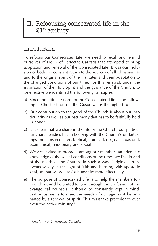### II. Refocusing consecrated life in the  $21<sup>st</sup>$  century

### Introduction

To refocus our Consecrated Life, we need to recall and remind ourselves of No. 2 of Perfectae Caritatis that attempted to bring adaptation and renewal of the Consecrated Life. It was our inclusion of both the constant return to the sources of all Christian life and to the original spirit of the institutes and their adaptation to the changed conditions of our time. For this renewal, under the inspiration of the Holy Spirit and the guidance of the Church, to be effective we identified the following principles:

- a) Since the ultimate norm of the Consecrated Life is the following of Christ set forth in the Gospels, it is the highest rule.
- b) Our contribution to the good of the Church is about our particularity as well as our patrimony that has to be faithfully held in honor.
- c) It is clear that we share in the life of the Church, our particular characteristics but in keeping with the Church's undertakings and aims in matters biblical, liturgical, dogmatic, pastoral, ecumenical, missionary and social.
- d) We are invited to promote among our members an adequate knowledge of the social conditions of the times we live in and of the needs of the Church. In such a way, judging current events wisely in the light of faith and burning with apostolic zeal, so that we will assist humanity more effectively.
- e) The purpose of Consecrated Life is to help the members follow Christ and be united to God through the profession of the evangelical counsels. It should be constantly kept in mind, that adjustments to meet the needs of our age must be animated by a renewal of spirit. This must take precedence over even the active ministry.<sup>3</sup>

<sup>3</sup> PAUL VI, No. 2, *Perfectae Caritatis*.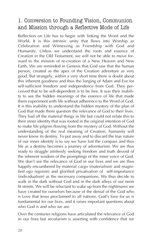### 1. Conversion to Founding Vision, Communion and Mission through a Reflective Mode of Life

Reflection on Life has to begin with linking the Word and the World. It is this intrinsic unity that flows into Worship as Celebration and Witnessing as Friendship with God and Humanity. Unless we understand the roots and essence of Creation in the Old Testament, we will not be able to move forward to the mission of re-creation of a New Heaven and New Earth. We are reminded in Genesis that God saw that the human person, created as the apex of the Creation adventure as very good. But strangely, within a very short time there is doubt about this inherent goodness and thus the longing of Adam and Eve for self-sufficient freedom and independence from God. They perceived that to be self-dependent is to be free. It was their inability to see the hidden meanings of the essence of life that made them experiment with life without adherence to the Word of God. It is this inability to understand the hidden mystery of the plan of God that made them question the relevance of God to their lives. They had all the material things in life but could not relate this to their inner identity that was rooted in the original intention of God to make life pilgrim flowing from the mystery of God. Without the understanding of the real meaning of Creation, humanity will never know its destiny. To put away and to discard the true nature of our inner identity is to say we have lost the compass and thus life as a destiny becomes a journey of adventurism. We are thus ready to struggle aimlessly seeking freedom and truth devoid of the inherent wisdom of the promptings of the inner voice of God. We don't see the relevance of God in our lives and we are thus happily encumbered by material cargo (materialism) and magnified ego (egoism) and glorified privatisation of self-importance (individualism) as the necessary companions. We thus decide to walk in the dark without God and in the dark alleys of our neon lit streets. We will be reluctant to wake up from the nightmares we have created for ourselves because of the denial of the God who is Love that Jesus proclaimed to all nations. God's love for us is fundamental for our lives, and it raises important questions about who God is and who we are.

Over the centuries religions have articulated the relevance of God in our lives but secularism is asserting with confidence that we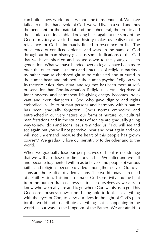can build a new world order without the transcendental. We have failed to realise that devoid of God, we will live in a void and thus the penchant for the material and the ephemeral, the erratic and the exotic seem inevitable. Looking back again at the story of the God of mystery alive in human history makes us realise that the relevance for God is intimately linked to reverence for life. The prevalence of conflicts, violence and wars, in the name of God throughout human history gives us some indications of the God that we have inherited and passed down to the young of each generation. What we have handed over as legacy have been more often the outer manifestations and practices of religious patrimony rather than as cherished gift to be cultivated and nurtured in the human heart and imbibed in the human psyche. Religion with its rhetoric, rules, rites, ritual and regimes has been more at selfpreservation than God-Incarnation. Religious external deprived of inner mystery and permanent life-giving energy becomes irrelevant and even dangerous. God who gave dignity and rights embodied in life to human persons and harmony within nature has been gradually forgotten. God's norms embodied and entrenched in our very nature, our forms of nurture, our cultural manifestations and in the structures of society are gradually giving way to new idols and icons. Jesus reminded us: "You will see and see again but you will not perceive, hear and hear again and you will not understand because the heart of this people has grown coarse".4 We gradually lose our sensitivity to the other and to the world.

When we gradually lose our perspectives of life it is not strange that we will also lose our directions in life. We falter and we fall and become fragmented within as believers and people of various faiths and religions become divided among themselves. Our divisions are the result of divided visions. The world today is in need of a Faith Vision. This inner retina of God sensitivity and the light from the human drama allows us to see ourselves as we are, to know who we really are and to go where God wants us to go. This God consciousness flows from being able to look at everything with the eyes of God, to view our lives in the light of God's plan for the world and to attribute everything that is happening in the world as our way to the Kingdom of the Father. We are afraid to

<sup>4</sup> *Matthew* 15:15.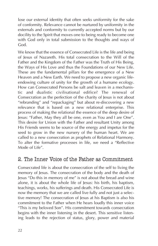lose our external identity that often seeks uniformity for the sake of conformity. Relevance cannot be nurtured by uniformity in the externals and conformity to currently accepted norms but by our docility to the Spirit that moves one to being ready to become one with God only in total submission to the thoughts and ways of God.

We know that the essence of Consecrated Life is the life and being of Jesus of Nazareth. His total consecration to the Will of the Father and the Kingdom of the Father was the Truth of His Being, the Ways of His Love and thus the Foundations of our New Life. These are the fundamental pillars for the emergence of a New Heaven and a New Earth. We need to propose a new organic lifeendowing culture of unity for the growth of a humane ecology. How can Consecrated Persons be salt and leaven in a mechanistic and dualistic civilisational edifice? The renewal of Consecration as the perfection of the charity of Jesus is not about "rebranding" and "repackaging" but about re-discovering a new relevance that is based on a new relational enterprise. This process of making the relational the essence of the deep desire of Jesus: "Father, May they all be one, even as You and I are One". This desire for Union with the Father and resultant Unity among His Friends seems to be source of the energy and impetus for the seed to grow in the new nursery of the human heart. We are called to a new consecration as prophets of Relational Harmony. To alter the formative processes in life, we need a "Reflective Mode of Life".

#### 2. The Inner Voice of the Father as Commitment

Consecrated life is about the consecration of the self to living the memory of Jesus. The consecration of the body and the death of Jesus "Do this in memory of me" is not about the bread and wine alone, it is about the whole life of Jesus: his birth, his baptism, teachings, works, his sufferings and death. His Consecrated Life is now the memory that we are called live fully and not just a selective memory! The consecration of Jesus at his Baptism is also his commitment to the Father when He hears loudly this inner voice "This is my beloved Son". His commitment towards consecration begins with the inner listening in the desert. This sensitive listening leads to the rejection of status, glory, power and material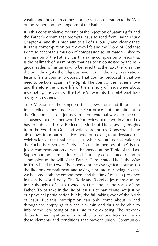wealth and thus the readiness for the self-consecration to the Will of the Father and the Kingdom of the Father.

It is this contemplative meeting of the rejection of Satan's gifts and the Father's dream that prompts Jesus to read from Isaiah (*Luke* Chapter 4) and thus proclaim to all of us loudly and clearly that: It is this contemplation on my own life and the Word of God that I dare to accept this mission of compassion so intimately linked to my mission of the Father. It is this same compassion of Jesus that is the hallmark of his ministry that has been contested by the religious leaders of his times who believed that the law, the rules, the rhetoric, the rights, the religious practices are the way to salvation. Jesus offers a counter proposal. That counter proposal is that we need to be born again in the Spirit. The Spirit of the Father's love and therefore the whole life of the memory of Jesus were about incarnating the Spirit of the Father's love into his relational harmony with others.

True Mission for the Kingdom thus flows from and through an inner reflectiveness mode of life. Our process of commitment to the Kingdom is also a journey from our external world to the consciousness of our inner world. Our review of the world around us has to subjected to a Reflective Mode of Life drawing insights from the Word of God and voices around us. Consecrated Life also flows from our reflective mode of seeking to understand our celebration of the final act of Jeus when we are consecration as the Eucharistic Body of Christ. "Do this in memory of me" is not just a commemoration of what happened at the Table of the Last Supper but the culmination of a life totally consecrated to and in submission to the will of the Father. Consecrated Life is the Way in Truth lived in Love. The essence of the evangelical counsels is the life-long commitment and taking him into our being, so that we become both the embodiment and the life of Jesus as presence in us in the world today. The Body and Blood of Jesus are also the inner thoughts of Jesus rooted in Him and in the ways of the Father. To partake in the life of Jesus is to participate not just by our physical participation but by the full taking over of the Spirit of Jesus. But this participation can only come about in and through the emptying of what is within and thus to be able to imbibe the very being of Jesus into our own being. The pre-condition for participation is to be able to remove from within us those elements and conditions that prevent union. Communion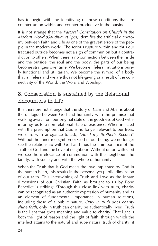has to begin with the identifying of those conditions that are counter-union within and counter-productive in the outside.

It is not strange that the *Pastoral Constitution on Church in the Modern World (Gaudium et Spes)* identifies the artificial dichotomy between Faith and Life as one of the gravest errors of the people in the modern world. The serious rupture within and thus our fractured outside becomes not a sign of communion but a contradiction to others. When there is no connection between the inside and the outside, the soul and the body, the parts of our being become strangers over time. We become lifeless institutions purely functional and utilitarian. We become the symbol of a body that is lifeless and we are thus not life-giving as a result of the connectivity of the World, the Word and Worship.

### 3. Consecration is sustained by the Relational Encounters in Life

It is therefore not strange that the story of Cain and Abel is about the dialogue between God and humanity with the premise that walking away from our original state of the goodness of God within brings us to a non-relational state of existence. When infected with the presumption that God is no longer relevant to our lives, we dare with arrogance to ask, *"Am I my Brother's Keeper?"* Without the inner recognition of God in our being, we no longer see the relationship with God and thus the unimportance of the Truth of God and the Love of neighbour. Without union with God we see the irrelevance of communion with the neighbour, the family, with society and with the whole of humanity.

When the Truth that is God meets the love implanted by God in the human heart, this results in the personal yet public dimension of our faith. This intertwining of Truth and Love as the innate dimensions of our Christian Faith as brought to us by Pope Benedict is striking: "Through this close link with truth, charity can be recognized as an authentic expression of humanity and as an element of fundamental importance in human relations, including those of a public nature. *Only in truth does charity shine forth*, only in truth can charity be authentically lived. Truth is the light that gives meaning and value to charity. That light is both the light of reason and the light of faith, through which the intellect attains to the natural and supernatural truth of charity: it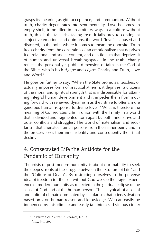grasps its meaning as gift, acceptance, and communion. Without truth, charity degenerates into sentimentality. Love becomes an empty shell, to be filled in an arbitrary way. In a culture without truth, this is the fatal risk facing love. It falls prey to contingent subjective emotions and opinions, the word "love" is abused and distorted, to the point where it comes to mean the opposite. Truth frees charity from the constraints of an emotionalism that deprives it of relational and social content, and of a fideism that deprives it of human and universal breathing-space. In the truth, charity reflects the personal yet public dimension of faith in the God of the Bible, who is both *Agápe* and *Lógos*: Charity and Truth, Love and Word.<sup>5</sup>

He goes on further to say: "When the State promotes, teaches, or actually imposes forms of practical atheism, it deprives its citizens of the moral and spiritual strength that is indispensable for attaining integral human development and it impedes them from moving forward with renewed dynamism as they strive to offer a more generous human response to divine love".6 What is therefore the meaning of Consecrated Life in union with the Trinity in a world that is divided and fragmented, torn apart by both inner strive and outer conflicts and struggles? The world of materialism and secularism that alienates human persons from their inner being and in the process loses their inner identity and consequently their final destiny.

### 4. Consecrated Life the Antidote for the Pandemic of Humanity

The crisis of post-modern humanity is about our inability to seek the deepest roots of the struggle between the "Culture of Life" and the "Culture of Death". By restricting ourselves to the perverse idea of freedom for the self without God we see the tragic experience of modern humanity as reflected in the gradual eclipse of the sense of God and of the human person. This is typical of a social and cultural climate dominated by secularism that offers salvation based only on human reason and knowledge. We can easily be influenced by this climate and easily fall into a sad vicious circle:

<sup>5</sup> BENEDICT XVI, *Caritas in Veritate*, No. 3.

<sup>6</sup> *Ibid.*, No. 29.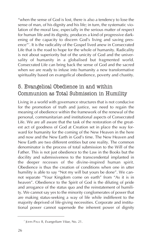"when the sense of God is lost, there is also a tendency to lose the sense of man, of his dignity and his life; in turn, the systematic violation of the moral law, especially in the serious matter of respect for human life and its dignity, produces a kind of progressive darkening of the capacity to discern God's living and saving presence"7 . It is the radicality of the Gospel lived anew in Consecrated Life that is the road to hope for the whole of humanity. Radicality is not about superiority but of the unicity of God and the universality of humanity in a globalised but fragmented world. Consecrated Life can bring back the sense of God and the sacred when we are ready to infuse into humanity a new transformative spirituality based on evangelical obedience, poverty and chastity.

### 5. Evangelical Obedience in and within Communion as Total Submission in Humility

Living in a world with governance structures that is not conducive for the promotion of truth and justice, we need to regain the meaning of obedience within the framework of the renewal of the personal, communitarian and institutional aspects of Consecrated Life. We are all aware that the task of the restoration of the greatest act of goodness of God at Creation set in place the way forward for humanity for the coming of the New Heaven in the here and now and the New Earth in God's time. The New Heaven and New Earth are two different entities but one reality. The common denominator is the process of total submission to the Will of the Father. This is not just obedience to the Law in the Books but the docility and submissiveness to the transcendental implanted in the deeper recesses of the divine-inspired human spirit. Obedience is thus the creation of conditions when one in utter humility is able to say "Not my will but yours be done". We cannot separate "Your Kingdom come on earth" from "As it is in heaven". Obedience to the Spirit of God is the diluting of pride and arrogance of the status quo and the reinstatement of humility. We cannot say yes to the minority conglomerates of power that are making status-seeking a way of life while indifferent to the majority deprived of life-giving necessities. Corporate and institutional power cannot supersede the inherent power of dignity

<sup>7</sup> JOHN PAUL II, *Evangelium Vitae*, No. 21.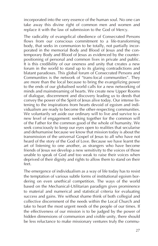incorporated into the very essence of the human soul. No one can take away this divine right of common men and women and replace it with the law of submission to the God of Mercy.

The radicality of evangelical obedience of Consecrated Persons flows from our conscious commitment to a life-transforming body, that seeks in communion to be totally, not partially incorporated in the memorial Body and Blood of Jesus and the contemporary Body and Blood of Jesus as evidenced by the counterpositioning of personal and common lives in private and public. It is this credibility of our oneness and unity that creates a new forum in the world to stand up to its glaring contradictions and blatant paradoxes. This global forum of Consecrated Persons and Communities is the network of "trans-local communities". They are more than the local because to bring the evangelizing power to the ends of our globalised world calls for a new networking of minds and mainstreaming of hearts. We create new Upper Rooms of dialogue, discernment and discovery leading us to deeds that convey the power of the Spirit of Jesus alive today. Our intense listening to the inspirations from hearts devoid of egoism and individualism are ready to become the other-respecting communities. We voluntarily set aside our ordinary will to live and survive to a new level of engagement: seeking together for the common will of the Father for the common good of the whole of humanity. We seek consciously to keep our eyes open to realities that secularise and dehumanise because we know that mission today is about the transmission of the universal Gospel of Jesus to all who have not heard of the story of the God of Love. Because we have learnt the art of listening to one another, as strangers who have become friends of Jesus we develop a new sensitivity to the voices of those unable to speak of God and too weak to raise their voices when deprived of their dignity and rights to allow them to stand on their feet.

The emergence of individualism as a way of life today has to resist the temptation of various subtle forms of institutional egoism bordering on even unethical competition. The ways of the world based on the Mechanical-Utilitarian paradigm gives prominence to material and numerical and statistical criteria for evaluating success and gains. We without shame think of both collegial and collective discernment of the needs within the Local Church and take to heart the most urgent needs of the people of our times. If the effectiveness of our mission is to be judged by the power of hidden dimensions of communion and visible unity, there should be less reluctance to make missionary ventures truly the commu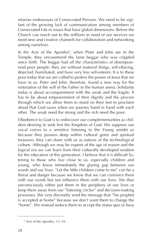nitarian endeavours of Consecrated Persons. We need to be vigilant of the growing lack of communication among members of Consecrated Life in issues that have global dimensions. Before the Church can reach out to the millions in need of our services we need new and creative channels for collaboration and networking among ourselves.

In the Acts of the Apostles<sup>8</sup>, when Peter and John are in the Temple, they encountered the lame beggar who was crippled since birth. The beggar had all the characteristics of disempowered poor people: they are without material things, self-effacing, dejected, humiliated, and have very low self-esteem. It is to these poor today that we are called to profess the power of Jesus that we have in us. Peter and John, therefore, found a new way for the restoration of the will of the Father in the human arena. Solidarity today is about accompaniment with the weak and the fragile. It has to be about empowerment of their dignity and the process through which we allow them to stand on their feet to proclaim aloud that God saves when we journey hand in hand with each other. The weak need the strong and the rich need the poor.

Obedience to God is to rediscover our complementarities as children desiring to seek first the Kingdom of God. We suppress our vocal voices to a sensitive listening to the Young amidst us because they possess deep within cultural gems and spiritual treasures, they can share with us as natives of the technological culture. Although we may be experts of the age of reason and the logical era we can learn from their culturally developed wisdom for the education of this generation. I believe that it is difficult listening to those who live close to us, especially children and young, who know immediately the glaring gap between our words and our lives. "Let the little children come to me" can be a threat and danger because we know that we can convince them with our words but not influence them with our lives. We thus unconsciously either put them in the periphery of our lives or keep them away from our "listening circles" and decision-making processes. We very discreetly send the message that "No prophet is accepted at home" because we don't want them to change the "home". We instead seduce them to accept the status quo or busy

<sup>8</sup> *Acts of the Apostles*, 3:1-10.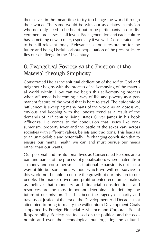themselves in the mean time to try to change the world through their works. The same would be with our associates in mission who not only need to be heard but to be participants in our discernment processes at all levels. Each generation and each culture has something new to offer, especially if we wish Consecrated Life to be still relevant today. Relevance is about restoration for the future and being Useful is about perpetuation of the present. Here lies our challenge in the  $21<sup>st</sup>$  century.

### 6. Evangelical Poverty as the Eviction of the Material through Simplicity

Consecrated Life as the spiritual dedication of the self to God and neighbour begins with the process of self-emptying of the material world within. How can we begin this self-emptying process when affluence is becoming a way of life and poverty as a permanent feature of the world that is here to stay? The epidemic of 'affluence' is sweeping many parts of the world as an obsessive, envious and keeping with the Joneses trend as a result of the demands of 21<sup>st</sup> century living, states Oliver James in his book Affluenza. He comes to the conclusion that issues like consumerism, property fever and the battle of the sexes vary across societies with different values, beliefs and traditions. This leads us to an unavoidable and potentially life changing conclusion that to ensure our mental health we can and must pursue our needs rather than our wants.

Our personal and institutional lives as Consecrated Persons are a part and parcel of the process of globalisation: where materialism − money and consumerism — institutional expansion is not just a way of life but something without which we will not survive in this world nor be able to ensure the growth of our mission to our people. The market-driven and profit oriented economies makes us believe that monetary and financial considerations and resources are the most important determinant in defining the future of our mission. This has been the tragedy of charity and travesty of justice of the era of the Development Aid Decades that attempted to bring to reality the Millennium Development Goals supported by Foreign Financial Assistance and Corporate Social Responsibility. Society has focused on the political and the economic and even the technological but forgetting the cultural.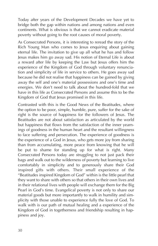Today after years of the Development Decades we have yet to bridge both the gap within nations and among nations and even continents. What is obvious is that we cannot eradicate material poverty without going to the root causes of moral poverty.

As Consecrated Persons, it is interesting to reread the story of the Rich Young Man who comes to Jesus enquiring about gaining eternal life. The invitation to give up all what he has and follow Jesus makes him go away sad. His notion of Eternal Life is about a reward after life by keeping the Law but Jesus offers him the experience of the Kingdom of God through voluntary renunciation and simplicity of life in service to others. He goes away sad because he did not realise that happiness can be gained by giving away the self and one's material possessions and one's time and energies. We don't need to talk about the hundred-fold that we have in this life as Consecrated Persons and assume this to be the Kingdom of God that Jesus promised in this life.

Contrasted with this is the Good News of the Beatitudes, where the option to be poor, simple, humble, pure, suffer for the sake of right is the source of happiness for the followers of Jesus. The Beatitudes are not about satisfaction as articulated by the world but happiness that flows from the satisfaction of the inner yearnings of goodness in the human heart and the resultant willingness to face suffering and persecution. The experience of goodness is the experience of a God in Jesus, who gets more joy from sharing than from accumulating, more peace from knowing that he will be put to shame for standing up for what is right. Many Consecrated Persons today are struggling to not just pack their bags and walk out to the wilderness of poverty but learning to live comfortably in simplicity and to generously share their God inspired gifts with others. Their small experience of the "Beatitudes inspired Kingdom of God" within is the little pearl that they want to share with others so that others in their own lives and in their relational lives with people will exchange them for the Big Pearl in God's time. Evangelical poverty is not only to share our material goods but more importantly to walk in humility and simplicity with those unable to experience fully the love of God. To walk with is our path of mutual healing and a experience of the Kingdom of God in togetherness and friendship resulting in happiness and joy.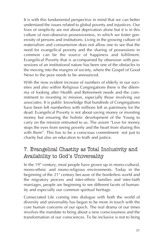It is with this fundamental perspective in mind that we can better understand the issues related to global poverty and injustices. Our lives of simplicity are not about deprivation alone but it is in this culture of non-obsessive possessiveness, in which we foster generosity of persons and institutions. Living in the growing culture of materialism and consumerism does not allow one to see that the need for evangelical poverty and the sharing of possessions in common can be the source of happiness and fulfilment. Evangelical Poverty that is accompanied by obsession with possessions of an institutional nature has been one of the obstacles to the moving into the margins of society, where the Gospel of Good News to the poor needs to be announced.

With the now evident increase of numbers of elderly in our societies and also within Religious Congregations there is the dilemma of looking after Health and Retirement needs and the commitment to investing in mission, especially those involving our associates. It is public knowledge that hundreds of Congregations have been left numberless with millions left as patrimony for the dead. Evangelical Poverty is not about saving money or investing money but ensuring the holistic development of the Young to carry on the mission entrusted to us. The axiom "Love for money stops the eyes from seeing poverty and the heart from sharing this with them". This has to be a conscious commitment not just to charity but also an education to truth and justice.

### 7. Evangelical Chastity as Total Inclusivity and Availability to God's Universality

In the  $19<sup>th</sup>$  century, most people have grown up in mono-cultural, mono-ethnic and mono-religious environments. Today in the beginning of the 21<sup>st</sup> century because of the borderless world and the migratory process and inter-ethnic families and inter-faith marriages, people are beginning to see different facets of humanity and especially our common spiritual heritage.

Consecrated Life coming into dialogue with both the world of diversity and universality has begun to be more in touch with the core human concerns of our epoch. The real drama of our times involves the mandate to bring about a new consciousness and the transformation of our consciences. To be inclusive is not to bring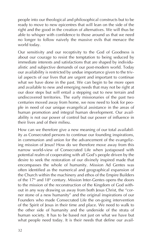people into our theological and philosophical constructs but to be ready to move to new epicentres that will lean on the side of the right and the good in the creation of alternatives. We will thus be able to whisper with confidence to those around us that we need no longer to follow naively the massive evils that menace the world today.

Our sensitivity and our receptivity to the God of Goodness is about our courage to resist the temptation to being seduced by immediate interests and satisfactions that are shaped by individualistic and subjective demands of our post-modern world. Today our availability is restricted by undue importance given to the trivial aspects of our lives that are urgent and important to continue what we have done in the past. We can begin to be more open and available to new and emerging needs that may not be right at our door steps but will entail a stepping out to new terrain and undiscovered territories. The early missionaries of the past two centuries moved away from home, we now need to look for people in need of our unique evangelical assistance in the areas of human promotion and integral human development. Our availability is not our power of control but our power of influence in their lives and of their milieu.

How can we therefore give a new meaning of our total availability as Consecrated persons to continue our founding inspirations, in communion and union for the advancement of the evangelizing mission of Jesus? How do we therefore move away from this narrow world-view of Consecrated Life when juxtaposed with potential realm of cooperating with all God's people driven by the desire to seek the restoration of our divinely inspired made that encompasses the whole of humanity. Mission Ad Gentes was often identified as the numerical and geographical expansion of the Church within the machinery and ethos of the Empire Builders of the  $17<sup>th</sup>$  and  $18<sup>th</sup>$  century. Mission Inter-Gentes opens the doors to the mission of the reconstruction of the Kingdom of God without in any way drawing us away from both Jesus Christ, the "corner stone of a new humanity" and the original inspirations of our Founders who made Consecrated Life the on-going intervention of the Spirit of Jesus in their time and place. We need to walk to the other side of humanity and the underside of the strata of human society. It has to be based not just on what we have but what people need today. It is their needs that define our avail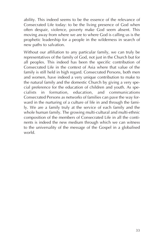ability. This indeed seems to be the essence of the relevance of Consecrated Life today: to be the living presence of God when often despair, violence, poverty make God seem absent. This moving away from where we are to where God is calling us is the prophetic leadership for a people in the wilderness in search of new paths to salvation.

Without our affiliation to any particular family, we can truly be representatives of the family of God, not just in the Church but for all peoples. This indeed has been the specific contribution of Consecrated Life in the context of Asia where that value of the family is still held in high regard. Consecrated Persons, both men and women, have indeed a very unique contribution to make to the natural family and the domestic Church by giving a very special preference for the education of children and youth. As specialists in formation, education, and communications Consecrated Persons as networks of families can pave the way forward in the nurturing of a culture of life in and through the family. We are a family truly at the service of each family and the whole human family. The growing multi-cultural and multi-ethnic composition of the members of Consecrated Life in all the continents is indeed the new medium through which we can witness to the universality of the message of the Gospel in a globalised world.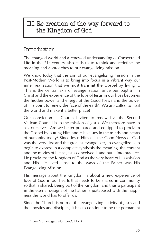### III.Re-creation of the way forward to the Kingdom of God

### Introduction

The changed world and a renewed understanding of Consecrated Life in the  $21<sup>st</sup>$  century also calls us to rethink and redefine the meaning and approaches to our evangelizing mission.

We know today that the aim of our evangelizing mission in the Post-Modern World is to bring into focus in a vibrant way our inner realization that we must transmit the Gospel by living it. This is the central axis of evangelization since our baptism in Christ and the experience of the love of Jesus in our lives becomes the hidden power and energy of the Good News and the power of His Spirit to renew the face of the earth°. We are called to heal the world and make it a better place!

Our conviction as Church invited to renewal at the Second Vatican Council is to the mission of Jesus. We therefore have to ask ourselves: Are we better prepared and equipped to proclaim the Gospel by putting Him and His values in the minds and hearts of humanity today? Since Jesus Himself, the Good News of God was the very first and the greatest evangelizer, to evangelize is to begin to express in a complete synthesis the meaning, the content and the modes of life as Jesus conceived it and put it into practice. He proclaims the Kingdom of God as the very heart of His Mission and His life lived close to the ways of the Father was His Evangelizing Mission.

His message about the Kingdom is about a new experience of love of God in our hearts that needs to be shared in community so that is shared. Being part of the Kingdom and thus a participant in the eternal designs of the Father is juxtaposed with the happiness the world has to offer us.

Since the Church is born of the evangelizing activity of Jesus and the apostles and disciples, it has to continue to be the permanent

<sup>9</sup> PAUL VI, *Evangelii Nuntiandi*, No. 4.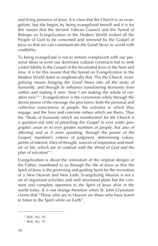and living presence of Jesus. It is clear that the Church is an evangelizer, but she begins by being evangelized herself and it is for this reason that the Second Vatican Council and the Synod of Bishops on Evangelization in the Modern World invited all the People of God to be converted and renewed by the Gospel of Jesus so that we can communicate the Good News to world with credibility.

To being evangelized is not to remain complacent with our personal ideas or even our dominant cultural constructs but to seek a total fidelity to the Gospel of the Incarnated Jesus in the here and now. It is for this reason that the Synod on Evangelization in the Modern World states so emphatically that *"For the Church, evangelizing means bringing the Good News into all the strata of humanity, and through its influence transforming humanity from within and making it new: Now I am making the whole of cre*ation new<sup>"10</sup>. Evangelization is the conversion solely through the divine power of the message she proclaims, both the personal and collective consciences of people, the activities in which they engage, and the lives and concrete milieu which are theirs. Thus the *"Strata of humanity which are transformed: for the Church is a question not only of preaching the Gospel in ever wider geographic areas or to ever greater numbers of people, but also of affecting and as it were upsetting, through the power of the Gospel, mankind's criteria of judgment, determining values, points of interest, lines of thought, sources of inspiration and models of life, which are in contrast with the Word of God and the plan of salvation"* 11.

Evangelization is about the restoration of the original designs of the Father, manifested to us through the life of Jesus so that the Spirit of Jesus is the governing and guiding Spirit for the recreation of a New Heaven and New Earth. Evangelizing Mission is not a set of organized activities and well structured plans but the constant and complete openness to the Spirit of Jesus alive in the world today. It is not strange therefore when St. John Crysostom claims that "Those who are in Heaven are those who have learnt to listen to the Spirit while on Earth".

<sup>10</sup> *Ibid.*, No. 18.

<sup>11</sup> *Ibid.*, No. 19.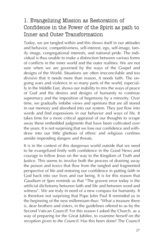### 1. Evangelizing Mission as Restoration of Confidence in the Power of the Spirit as path to Inner and Outer Transformation

Today, we are tangled within and this shows itself in our attitudes and behavior, competitiveness, self-interest, ego, self-image, family image, congregational interests, and national pride. The individual is thus unable to make a distinction between various forms of conflicts in the inner world and the outer realities. We are not sure when we are governed by the ways of the Gospel and designs of the World. Situations are often irreconcilable and too divisive that it needs more than reason, it needs faith. The ongoing wars and violence in so many parts of the world, especially in the Middle East, shows our inability to mix the ways of peace of God and the desires and designs of humanity to continue supremacy and the imposition of hegemony by a minority. Over time, we gradually imbibe views and opinions that are all stored in our memory and absorbed into our system. They just flow into words and find expressions in our behavior and ways of life. It takes time for a more critical appraisal of our thoughts to scrape away these embedded judgments that have been cultivated over the years. It is not surprising that we lose our confidence and withdraw into our little ghettoes of ethnic and religious confines amidst impending dangers and threats.

It is in the context of this dangerous world outside that we need to be evangelized firstly with confidence in the Good News and courage to follow Jesus on the way to the Kingdom of Truth and Justice. This seems to involve both the process of draining away the poison and toxics that flow from the tangled and fragmented perspective of life and restoring our confidence in putting faith in God back into our lives and our being. It is for this reason that *Gaudium et Spes* reminds us that "The gravest error today is the artificial dichotomy between faith and life and between word and witness". We are truly in need of a new compass for humanity. It is therefore not surprising that Pope John Paul II reminded us in the beginning of the new millennium thus: "What a treasure there is, dear brothers and sisters, in the guidelines offered to us by the Second Vatican Council! For this reason I asked the Church, as a way of preparing for the Great Jubilee, to *examine herself on the reception given to the Council*. Has this been done? The Council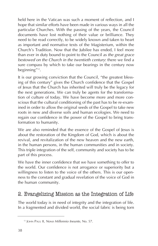held here in the Vatican was such a moment of reflection, and I hope that similar efforts have been made in various ways in all the particular Churches. With the passing of the years, the Council documents have lost nothing of their value or brilliance. They need to be read correctly, to be widely known and taken to heart as important and normative texts of the Magisterium, within the Church's Tradition. Now that the Jubilee has ended, I feel more than ever in duty bound to point to the Council as *the great grace bestowed on the Church in the twentieth century*: there we find a sure compass by which to take our bearings in the century now beginning"12.

It is our growing conviction that the Council, "the greatest blessing of this century" gives the Church confidence that the Gospel of Jesus that the Church has inherited will truly be the legacy for the next generations. We can truly be agents for the transformation of culture of today. We have become more and more conscious that the cultural conditioning of the past has to be re-examined in order to allow the original seeds of the Gospel to take new roots in new and diverse soils and human ecologies. We need to regain our confidence in the power of the Gospel to bring transformation to humanity.

We are also reminded that the essence of the Gospel of Jesus is about the restoration of the Kingdom of God, which is about the revival, and revitalization of the new heaven and the new earth, in the human persons, in the human communities and in society. This triple integration of the self, community and society has to be part of this process.

We have the inner confidence that we have something to offer to the world. Our confidence is not arrogance or superiority but a willingness to listen to the voice of the others. This is our openness to the constant and gradual revelation of the voice of God in the human community.

### 2. Evangelizing Mission as the Integration of Life

The world today is in need of integrity and the integration of life. In a fragmented and divided world, the social fabric is being torn

<sup>12</sup> JOHN PAUL II, *Novo Millennio Ineunte*, No. 57.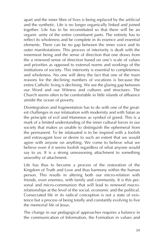apart and the inner fibre of lives is being replaced by the artificial and the synthetic. Life is no longer organically linked and joined together. Life has to be reconstituted so that there will be an organic unity of the entire constituent parts. The entirety has to reflect its wholeness and be complete in its essence and essential elements. There can be no gap between the inner voice and its outer manifestations. This process of interiority is dealt with the innermost being and the sense of direction that one draws from the a renewed sense of direction based on one's scale of values and priorities as opposed to external norms and workings of the institutions of society. This interiority is essential to completeness and wholeness. No one will deny the fact that one of the main reasons for the declining numbers of vocations is because the entire Catholic living is declining. We see the glaring gap between our Word and our Witness and cultures and structures. The Church seems often to be comfortable in little islands of affluence amidst the ocean of poverty.

Disintegration and fragmentation has to do with one of the greatest challenges in our infatuation with modernity and with Satan as the principle of evil and Mammon as symbol of greed. This is a mark of a limited understanding of the inner cultural forces in our society that makes us unable to distinguish the ephemeral from the permanent. To be infatuated is to be inspired with a foolish and extravagant love or desire to such an extent that we would agree with anyone on anything. We come to believe what we believe even if it seems foolish regardless of what anyone would say to us. It is a strong unreasoning attachment to something unworthy of attachment.

Life has thus to become a process of the restoration of the Kingdom of Truth and Love and thus harmony within the human person. This results in altering both our micro-relation with friends, even enemies, with family and community. It is this personal and micro-communion that will lead to renewed macrorelationships at the level of the social, economic and the political. Consecrated life in its radical conception is not a state of existence but a process of being totally and constantly evolving to live the memorial life of Jesus.

The change in our pedagogical approaches requires a balance in the communication of Information, the Formation in values and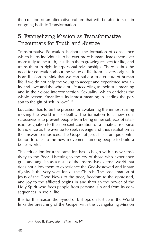the creation of an alternative culture that will be able to sustain on-going holistic Transformation

### 3. Evangelizing Mission as Transformative Encounters for Truth and Justice

Transformative Education is about the formation of conscience which helps individuals to be ever more human, leads them ever more fully to the truth, instills in them growing respect for life, and trains them in right interpersonal relationships. There is thus the need for education about the value of life from its very origins. It is an illusion to think that we can build a true culture of human life if we do not help the young to accept and experience sexuality and love and the whole of life according to their true meaning and in their close interconnection. Sexuality, which enriches the whole person, "manifests its inmost meaning in leading the person to the gift of self in love".<sup>13</sup>

Education has to be the process for awakening the inmost stirring moving the world in its depths. The formation to a new consciousness is to prevent people from being either subjects of fatalistic resignation to their present condition or a fanatical recourse to violence as the avenue to seek revenge and thus retaliation as the answer to injustices. The Gospel of Jesus has a unique contribution to offer to the new movements among people to build a better world.

This education for transformation has to begin with a new sensitivity to the Poor. Listening to the cry of those who experience grief and anguish as a result of the insensitive external world that does not allow them to experience the God-bestowed and innate dignity is the very vocation of the Church. The proclamation of Jesus of the Good News to the poor, freedom to the oppressed, and joy to the afflicted begins in and through the power of the Holy Spirit who frees people from personal sin and from its consequences in social life.

It is for this reason the Synod of Bishops on Justice in the World links the preaching of the Gospel with the Evangelizing Mission

<sup>13</sup> JOHN PAUL II, *Evangelium Vitae*, No. 97.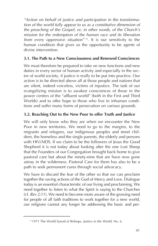*"Action on behalf of justice and participation in the transformation of the world fully appear to us as a constitutive dimension of the preaching of the Gospel, or, in other words, of the Church's mission for the redemption of the human race and its liberation from every oppressive situation"* 14. It is our sensitivity to the human condition that gives us the opportunity to be agents of divine intervention.

#### **3.1. The Path to a New Consciousness and Renewed Consciences**

We must therefore be prepared to take on new functions and new duties in every sector of human activity and especially in the sector of world society, if justice is really to be put into practice. Our action is to be directed above all at those people and nations that are silent, indeed voiceless, victims of injustice. The task of our evangelizing mission is to awaken consciences of those in the power centres of the "affluent world" (both in the First and Third Worlds) and to offer hope to those who live in inhuman conditions and suffer many forms of persecution on various grounds.

#### **3.2. Reaching Out to the New Poor to offer Truth and Justice**

We will only know who they are when we encounter the New Poor in new territories. We need to go to the margins, to the migrants and refugees, our indigenous peoples and street children, the homeless and the single parents, the elderly and persons with HIV/AIDS. If we claim to be the followers of Jesus the Good Shepherd it is not today about looking after the one Lost Sheep that the Founders of our Congregation brought back home to give pastoral care but about the ninety-nine that are have now gone astray in the wilderness. Pastoral Care for them has also to be a path to seek permanent cures through social advocacy.

We have to discard the fear of the other so that we can proclaim together the saving actions of the God of Mercy and Love. Dialogue today is an essential characteristic of our living and proclaiming. We need together to listen to what the Spirit is saying to the Churches (cf. *Rev* 2:11). We need to become more aware of the growing need for people of all faith traditions to work together for a new world, our religions cannot any longer be addressing the basic and per-

<sup>14 1971</sup> The World Synod of Bishops, *Justice in the World*, No. 6.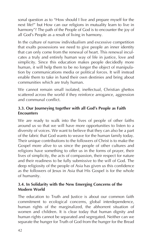sonal question as to "How should I live and prepare myself for the next life?" but How can our religions in mutuality learn to live in harmony"? The path of the People of God is to encounter the joy of all God's People as a result of living in harmony.

In the culture of narrow individualism and excessive competition that exalts possessions we need to give people an inner identity that can only come from the renewal of heart. This renewal inculcates a truly and entirely human way of life in justice, love and simplicity. Since this education makes people decidedly more human, it will help them to be no longer the object of manipulation by communications media or political forces. It will instead enable them to take in hand their own destinies and bring about communities which are truly human.

We cannot remain small isolated, ineffectual, Christian ghettos scattered across the world if they reinforce arrogance, aggression and communal conflict.

#### **3.3. Our Journeying together with all God's People as Faith Encounters**

We are ready to walk into the lives of people of other faiths around us so that we will have more opportunities to listen to a diversity of voices. We want to believe that they can also be a part of the fabric that God wants to weave for the human family today. Their unique contributions to the followers of Christ is to make the Gospel more alive to us since the people of other cultures and religions have something to offer us in the forms of prayer, their lives of simplicity, the acts of compassion, their respect for nature and their readiness to be fully submissive to the will of God. The deep religiosity of the people of Asia has given us this confidence as the followers of Jesus in Asia that His Gospel is for the whole of humanity.

#### **3.4. In Solidarity with the New Emerging Concerns of the Modern World**

The education to Truth and Justice is about our common faith commitment to ecological concerns, global interdependence, human rights of the marginalized, the abhorrent situation of women and children. It is clear today that human dignity and human rights cannot be separated and segregated. Neither can we separate the hunger for Truth of God from the hunger for the Bread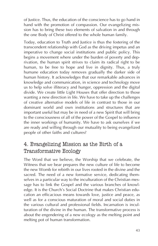of Justice. Thus, the education of the conscience has to go hand in hand with the promotion of compassion. Our evangelizing mission has to bring these two elements of salvation in and through the one Body of Christ offered to the whole human family.

Today, education to Truth and Justice is thus the fostering of the transcendent relationship with God as the driving impetus and an imperative to change social institutions and public policy. This begins a movement where under the burden of poverty and deprivation, the human spirit strives to claim its radical right to be human, to be free to hope and live in dignity. Thus, a truly humane education today removes gradually the darker side of human history. It acknowledges that our remarkable advances in knowledge and communication, in science and technology move us to help solve illiteracy and hunger, oppression and the digital divide. We create little Light Houses that offer direction to those wanting a new direction in life. We have to take up the challenges of creative alternative models of life in contrast to those in our dominant world and own institutions and structures that are important useful but may be in need of a new Spirit that will bring to the consciousness of all of the power of the Gospel to influence the inner workings of humanity. We have to ask ourselves if we are ready and willing through our mutuality to being evangelized people of other faiths and cultures?

### 4. Evangelizing Mission as the Birth of a Transformative Ecology

The Word that we believe, the Worship that we celebrate, the Witness that we bear prepares the new culture of life to become the new Womb for rebirth in our lives rooted in the divine and the sacred. The need of a new formative service, dedicating themselves in a particular way to the inculturation of the Christian message has to link the Gospel and the various branches of knowledge. It is the Church's Social Doctrine that makes Christian education an efficacious means towards love, justice and peace, as well as for a conscious maturation of moral and social duties in the various cultural and professional fields. Incarnation is inculturation of the divine in the human. The transformative process is about the engendering of a new ecology as the melting point and melting pot of human transformation.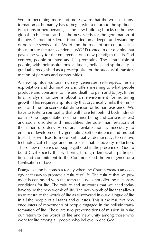We are becoming more and more aware that the work of transformation of humanity has to begin with a return to the spirituality of transformed persons, as the new building blocks of the new global architecture and as the new seeds for the germination of the new Garden of Eden. It is founded on a deeper understanding of both the seeds of the Word and the roots of our cultures. It is this return to the transcendental WORD rooted in our divinity that paves the way for the emergence of a new paradigm that is God centred, people oriented and life promoting. The central role of people, with their aspirations, attitudes, beliefs and spirituality, is gradually recognised as a pre-requisite for the successful transformation of persons and communities.

A new spiritual-cultural nursery generates self-respect, resists exploitation and domination and offers meaning to what people produce and consume, to life and death, to pain and to joy. In the final analysis, culture is about an environment for nurturing growth. This requires a spirituality that organically links the imminent and the transcendental dimension of human existence. We have to foster a spirituality that will have left behind both individualism (the fragmentation of the inner being and consciousness) and social disorder and inequalities (the outer manifestations of the inner disorder). A cultural revitalization is necessary to enhance development by generating self-confidence and mutual trust. This will lead to more participative democracy, to creative technological change and more sustainable poverty reduction. These new nurseries of people gathered in the presence of God to build Civil Society that will bring through democratic participation and commitment to the Common God the emergence of a Civilisation of Love.

Evangelization becomes a reality when the Church creates an ecology necessary to promote a culture of life. The culture that we promote is contrasted with the tomb that does not offer the necessary conditions for life. The culture and structures that we need today have to be the new womb of life. The new womb of life that allows us to return to the words of life as discovered in our dialogue of life in all the people of all faiths and cultures. This is the result of new encounters of movements of people engaged in the holistic transformation of life. These are two pre-conditions of mission in Asia: our return to the words of life and new unity among those who work for life among all people who believe in one God.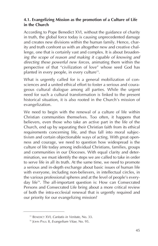#### **4.1. Evangelizing Mission as the promotion of a Culture of Life in the Church**

According to Pope Benedict XVI, without the guidance of charity in truth, the global force today is causing unprecedented damage and creates new divisions within the human family. Hence, charity and truth confront us with an altogether new and creative challenge, one that is certainly vast and complex. It is about *broadening the scope of reason and making it capable of knowing and directing these powerful new forces*, animating them within the perspective of that "civilization of love" whose seed God has planted in every people, in every culture<sup>15</sup>.

What is urgently called for is a general mobilization of consciences and a united ethical effort to foster a serious and courageous cultural dialogue among all parties. While the urgent need for such a cultural transformation is linked to the present historical situation, it is also rooted in the Church's mission of evangelization.

We need to begin with the renewal of a culture of life within Christian communities themselves. Too often, it happens that believers, even those who take an active part in the life of the Church, end up by separating their Christian faith from its ethical requirements concerning life, and thus fall into moral subjectivism and certain objectionable ways of acting. With great openness and courage, we need to question how widespread is the culture of life today among individual Christians, families, groups and communities in our Dioceses. With equal clarity and determination, we must identify the steps we are called to take in order to serve life in all its truth. At the same time, we need to promote a serious and in-depth exchange about basic issues of human life with everyone, including non-believers, in intellectual circles, in the various professional spheres and at the level of people's everyday life<sup>16</sup>. The all-important question is: How can Consecrated Persons and Consecrated Life bring about a more critical review of both the intra-ecclesial renewal that is urgently required and our priority for our evangelizing mission?

<sup>15</sup> BENEDICT XVI, *Caritatis in Veritate*, No. 33.

<sup>16</sup> JOHN PAUL II, *Evangelium Vitae*, No. 95.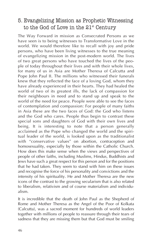### 5. Evangelizing Mission as Prophetic Witnessing to the God of Love in the  $21^{st}$  Century

The Way Forward in mission as Consecrated Persons as we have seen is to being witnesses to Transformative Love in the world. We would therefore like to recall with joy and pride persons, who have been living witnesses to the true meaning of evangelizing mission in the post-modern world. The lives of two great persons who have touched the lives of the people of today throughout their lives and with their whole lives, for many of us in Asia are Mother Theresa of Calcutta and Pope John Paul II. The millions who witnessed their funerals knew that they reflected the face of a loving God, whom they have already experienced in their hearts. They had healed the world of two of its greatest ills, the lack of compassion for their neighbours in need and to stand up and speak to the world of the need for peace. People were able to see the faces of contemplation and compassion: For people of many faiths in Asia these are the two faces of God: the God who listens and the God who cares. People thus begin to contrast these special sons and daughters of God with their own lives and being. It is interesting to note that a person generally acclaimed as the Pope who changed the world and the spiritual leader of the world, is looked upon as the traditionalist with "conservative values" on abortion, contraception and homosexuality, especially by those within the Catholic Church. How does this make sense when the views and perspectives of people of other faiths, including Muslims, Hindus, Buddhists and Jews have such a great respect for this person and for the positions that he had taken. They seem to stand with him on these issues and recognise the force of his personality and convictions and the intensity of his spirituality. He and Mother Theresa are the new icons of the contrast to the growing secularism that is also related to liberalism, relativism and of course materialism and individualism.

It is incredible that the death of John Paul as the Shepherd of Rome and Mother Theresa as the Angel of the Poor of Kolkata (Calcutta), was a sacred moment for hundreds of world leaders together with millions of people to reassure through their tears of sadness that they are missing them but that God must be smiling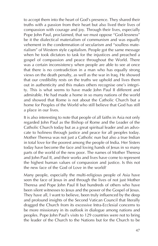to accept them into the heart of God's presence. They shared their truths with a passion from their heart but also lived their lives of compassion with courage and joy. Through their lives, especially Pope John Paul, proclaimed, that we must oppose "God-lessness" be it the dialectical materialism of communism and was equally vehement in the condemnation of secularism and "soulless materialism" of Western style capitalism. People got the same message when he took dictators to task for the injustices and preached a gospel of compassion and peace throughout the World. There was a certain inconsistency when people are able to see at once that there is no contradiction in a man who has equally strong views on the death penalty, as well as the war in Iraq. He showed that our credibility rests on the truths we uphold and lives them out in authenticity and this makes others recognise one's integrity. This is what seems to have made John Paul II different and admirable. He had made a home in so many nations of the world and showed that Rome is not about the Catholic Church but a home for Peoples of the World who still believe that God has still a place in our lives.

It is also interesting to note that people of all faiths in Asia not only regarded John Paul as the Bishop of Rome and the Leader of the Catholic Church today but as a great spiritual leader and an advocate to holiness through justice and peace for all peoples today. Mother Theresa was not just a Catholic nun but also a true Indian in total love for the poorest among the people of India. Her Sisters today have become the face and loving hands of Jesus in so many parts of the world of the new poor. The names of Mother Theresa and John Paul II, and their works and lives have come to represent the highest human values of compassion and justice. Is this not the new face of the God of Love in the world?

Many people, especially the multi-religious people of Asia have seen the face of Jesus in and through the lives of not just Mother Theresa and Pope John Paul II but hundreds of others who have been silent witnesses to Jesus and the power of the Gospel of Jesus. They have all, I want to believe, been truly influenced by the deep and profound insights of the Second Vatican Council that literally dragged the Church from its excessive Intra-Ecclesial concerns to be more missionary in its outlook in dialogue among nations and peoples. Pope John Paul's visits to 129 countries were not to bring the leader of the Church to the Nations but for the Church to be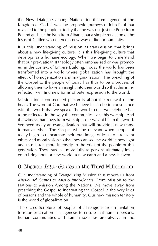the New Dialogue among Nations for the emergence of the Kingdom of God. It was the prophetic journeys of John Paul that revealed to the people of today that he was not just the Pope from Poland and she the Nun from Albania but a simple reflection of the Jesus of Galilee who offered a new way of life for humanity.

It is this understanding of mission as transmission that brings about a new life-giving culture. It is this life-giving culture that develops as a humane ecology. When we begin to understand that our pre-Vatican II theology often emphasised or was promoted in the context of Empire Building. Today the world has been transformed into a world where globalization has brought the effect of homogenization and marginalization. The preaching of the Gospel to the people of today has thus to be a process of allowing them to have an insight into their world so that this inner reflection will find new forms of outer expression to the world.

Mission for a consecrated person is about the renewal of the heart. The word of God that we believe has to be in consonance with the words that we speak. The worship that we celebrate has to be reflected in the way the community lives this worship. And the witness that flows from worship is our way of life in the world. We need today an evangelization that will provide a new transformative ethos. The Gospel will be relevant when people of today begin to reincarnate their total image of Jesus to a relevant ethics and moral vision so that they can see the world in new light and thus listen more intensely to the cries of the people of this generation. They thus live more fully as persons ultimately invited to bring about a new world, a new earth and a new heaven.

#### 6. Mission Inter Gentes in the Third Millennium

Our understanding of Evangelizing Mission thus moves us from *Missio Ad Gentes* to *Missio Inter-Gentes*. From Mission to the Nations to Mission Among the Nations. We move away from preaching the Gospel to incarnating the Gospel in the very lives of persons and the whole of humanity. Our new mission territory is the world of globalization.

The sacred Scriptures of peoples of all religions are an invitation to re-order creation at its genesis to ensure that human persons, human communities and human societies are always in the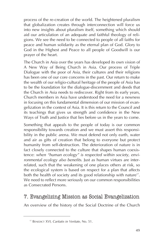process of the re-creation of the world. The heightened pluralism that globalization creates through interconnection will force us into new insights about pluralism itself, something which should aid our articulation of an adequate and faithful theology of religions. We see the need to be connected to people of all faiths for peace and human solidarity as the eternal plan of God. Glory to God in the Highest and Peace to all people of Goodwill is our prayer of the heart.

The Church in Asia over the years has developed its own vision of A New Way of Being Church in Asia. Our process of Triple Dialogue with the poor of Asia, their cultures and their religions has been one of our core concerns in the past. Our return to make the wealth of our religio-cultural heritage of the people of Asia has to be the foundation for the dialogue-discernment and deeds that the Church in Asia needs to rediscover. Right from its early years, Church members in Asia have understood the need for a newness in focusing on this fundamental dimension of our mission of evangelization in the context of Asia. It is this return to the Council and its teachings that gives us strength and confidence in the New Ways of Truth and Justice that lies before us in the years to come.

Something that appeals to the people of today is our common responsibility towards creation and we must assert this responsibility in the public arena. We must defend not only earth, water and air as gifts of creation that belong to everyone but protect humanity from self-destruction. The deterioration of nature is in fact closely connected to the culture that shapes human coexistence: *when "human ecology" is respected within society, environmental ecology also benefits*. Just as human virtues are interrelated, such that the weakening of one places others at risk, so the ecological system is based on respect for a plan that affects both the health of society and its good relationship with nature<sup>17</sup>. We need to reflect more seriously on our common responsibilities as Consecrated Persons.

#### 7. Evangelizing Mission as Social Evangelization

An overview of the history of the Social Doctrine of the Church

<sup>17</sup> BENEDICT XVI, *Caritatis in Veritate*, No. 51.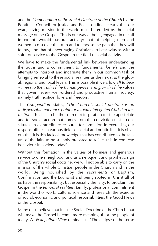and the *Compendium of the Social Doctrine of the Church* by the Pontifical Council for Justice and Peace outlines clearly that our evangelizing mission in the world must be guided by the social message of the Gospel. This is our way of being engaged in the all important twofold pastoral activity: that of helping men and women to discover the truth and to choose the path that they will follow, and that of encouraging Christians to bear witness with a spirit of service to the Gospel in the field of social activity.

We have to make the fundamental link between understanding the truths and a commitment to fundamental beliefs and the attempts to interpret and incarnate them in our common task of bringing renewal to these social realities as they exist at the global, regional and local levels. This is possible if we allow *all to bear witness to the truth of the human person and growth of the* values that govern every well-ordered and productive human society: namely truth, justice, love and freedom.

The *Compendium* states, *"The Church's social doctrine is an indispensable reference point for a totally integrated Christian formation*. This has to be the source of inspiration for the apostolate and for social action that comes from the conviction that it constitutes an extraordinary resource for formation in exercising our responsibilities in various fields of social and public life. It is obvious that it is this lack of knowledge that has contributed to the failure of the laity to be suitably prepared to reflect this in concrete behaviour in society today".

Without this formation in the values of holiness and generous service to one's neighbour and as an eloquent and prophetic sign of the Church's social doctrine, we will not be able to carry on the mission of the whole Christian people in the Church and in the world. Being nourished by the *sacraments of* Baptism, Confirmation and the Eucharist and being rooted in Christ all of us have the responsibility, but especially the laity, to proclaim the Gospel in the *temporal realities*: family; professional commitment in the world of work, culture, science and research; the exercise of social, economic and political responsibilities; the Good News of the Gospel.

Many of us believe that it is the Social Doctrine of the Church that will make the Gospel become more meaningful for the people of today, As *Evangelium Vitae* reminds us: "The eclipse of the sense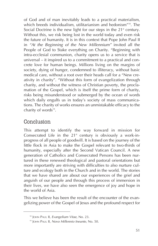of God and of man inevitably leads to a practical materialism, which breeds individualism, utilitarianism and hedonism"18. The Social Doctrine is the new light for our steps in the  $21<sup>st</sup>$  century. Without this, we risk being lost in the world today and even risk the future of humanity. It is in this context that Pope John Paul II in *"At the Beginning of the New Millennium"* invited all the People of God to Stake everything on Charity. "Beginning with intra-ecclesial communion, charity opens us to a service that is universal — it inspired us to a commitment to a practical and concrete love for human beings. Millions living on the margins of society, dying of hunger, condemned to illiteracy, without basic medical care, without a root over their heads call for a "New creativity in charity". "Without this form of evangelization through charity, and without the witness of Christian poverty, the proclamation of the Gospel, which is itself the prime form of charity, risks being misunderstood or submerged by the ocean of words which daily engulfs us in today's society of mass communications. The charity of works ensures an unmistakable efficacy to the charity of words<sup>19</sup>.

#### Conclusion

This attempt to identify the way forward in mission for Consecrated Life in the  $21<sup>st</sup>$  century is obviously a work-inprogress of all people of goodwill. It is based on the journey of the little flock in Asia to make the Gospel relevant to two-thirds of humanity, especially after the Second Vatican Council. A new generation of Catholics and Consecrated Persons has been nurtured in these renewed theological and pastoral orientations but more importantly are striving with difficulties to also nurture culture and ecology both in the Church and in the world. The stories that we have shared are about our experiences of the grief and anguish of our people and through this process of immersion in their lives, we have also seen the emergence of joy and hope in the world of Asia.

This we believe has been the result of the encounter of the evangelizing power of the Gospel of Jesus and the profound respect for

<sup>18</sup> JOHN PAUL II, *Evangelium Vitae*, No. 23.

<sup>19</sup> JOHN PAUL II, *Novo Millennio Ineunte*, No. 50.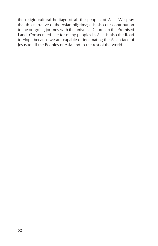the religio-cultural heritage of all the peoples of Asia. We pray that this narrative of the Asian pilgrimage is also our contribution to the on-going journey with the universal Church to the Promised Land. Consecrated Life for many peoples in Asia is also the Road to Hope because we are capable of incarnating the Asian face of Jesus to all the Peoples of Asia and to the rest of the world.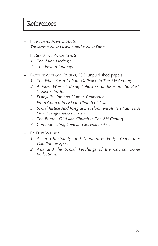### References

- Fr. MICHAEL AMALADOSS, SJ. *Towards a New Heaven and a New Earth.*
- Fr. SEBASTIAN PAINADATH, SJ
	- *1. The Asian Heritage.*
	- *2. The Inward Journey.*
- BROTHER ANTHONY ROGERS, FSC (unpublished papers)
	- 1. The Ethos For A Culture Of Peace In The 21<sup>st</sup> Century.
	- *2. A New Way of Being Followers of Jesus in the Post-Modern World.*
	- *3. Evangelisation and Human Promotion.*
	- *4. From Church in Asia to Church of Asia.*
	- *5. Social Justice And Integral Development As The Path To A New Evangelisation In Asia.*
	- 6. The Portrait Of Asian Church In The 21<sup>st</sup> Century.
	- *7. Communicating Love and Service in Asia.*
- Fr. FELIX WILFRED
	- *1. Asian Christianity and Modernity: Forty Years after Gaudium et Spes.*
	- *2. Asia and the Social Teachings of the Church: Some Reflections*.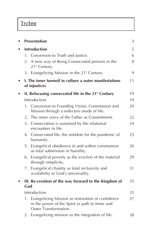## Index

|  |                     | <b>Presentation</b>                                                                                                           | 3  |
|--|---------------------|-------------------------------------------------------------------------------------------------------------------------------|----|
|  | <b>Introduction</b> |                                                                                                                               |    |
|  |                     | 1. Conversion to Truth and Justice.                                                                                           | 6  |
|  | 2.                  | A new way of Being Consecrated persons in the<br>21 <sup>st</sup> Century.                                                    | 8  |
|  | 3.                  | Evangelizing Mission in the 21 <sup>st</sup> Century.                                                                         | 9  |
|  |                     | I. The inner turmoil in culture a outer manifestations<br>of injustices                                                       | 11 |
|  |                     | II. Refocusing consecrated life in the $21st$ Century                                                                         | 19 |
|  | Introduction        |                                                                                                                               |    |
|  |                     | 1. Conversion to Founding Vision, Communion and<br>Mission through a reflective mode of life.                                 | 20 |
|  | 2.                  | The inner voice of the Father as Commitment.                                                                                  | 22 |
|  | 3.                  | Consecration is sustained by the relational<br>encounters in life.                                                            | 24 |
|  | 4.                  | Consecrated life: the antidote for the pandemic of<br>humanity.                                                               | 25 |
|  | 5.                  | Evangelical obedience in and within communion<br>as total submission in humility.                                             | 26 |
|  | 6.                  | Evangelical poverty as the eviction of the material<br>through simplicity.                                                    | 29 |
|  | 7.                  | Evangelical chastity as total inclusivity and<br>availability to God's universality.                                          | 31 |
|  | God                 | III. Re-creation of the way forward to the Kingdom of                                                                         | 35 |
|  |                     | Introduction                                                                                                                  | 35 |
|  | 1.                  | Evangelizing Mission as restoration of confidence<br>in the power of the Spirit as path to Inner and<br>Outer Transformation. | 37 |
|  | 2.                  | Evangelizing mission as the integration of life.                                                                              | 38 |